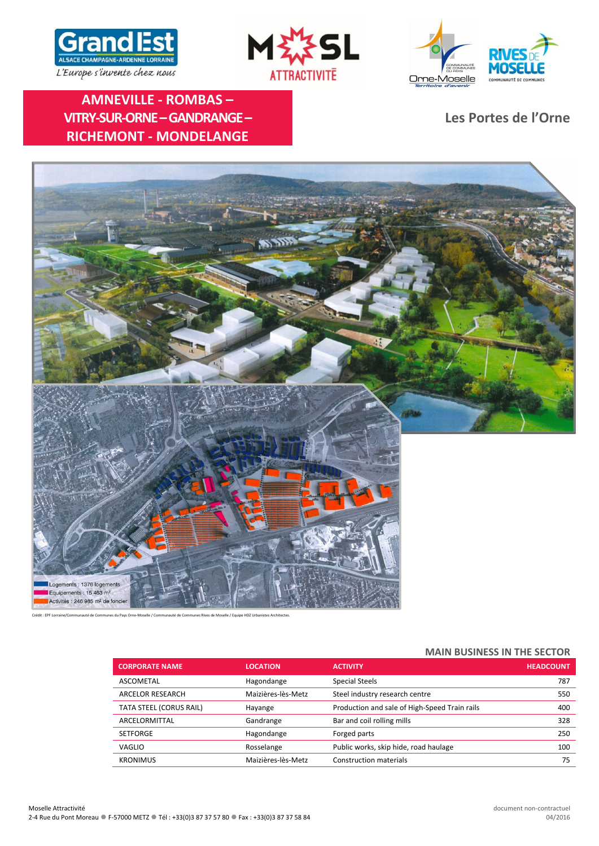





**AMNEVILLE ‐ ROMBAS – VITRY‐SUR‐ORNE–GANDRANGE– RICHEMONT ‐ MONDELANGE**

**Les Portes de l'Orne**



Crédit : EPF Lorraine/Communauté de Communes du Pays Orne‐Moselle / Communauté de Communes Rives de Moselle / Equipe HDZ Urbanistes Architectes.

### **MAIN BUSINESS IN THE SECTOR**

| <b>CORPORATE NAME</b>   | <b>LOCATION</b>    | <b>ACTIVITY</b>                               | <b>HEADCOUNT</b> |
|-------------------------|--------------------|-----------------------------------------------|------------------|
| ASCOMETAL               | Hagondange         | <b>Special Steels</b>                         | 787              |
| ARCELOR RESEARCH        | Maizières-lès-Metz | Steel industry research centre                | 550              |
| TATA STEEL (CORUS RAIL) | Hayange            | Production and sale of High-Speed Train rails | 400              |
| ARCELORMITTAL           | Gandrange          | Bar and coil rolling mills                    | 328              |
| <b>SETFORGE</b>         | Hagondange         | Forged parts                                  | 250              |
| <b>VAGLIO</b>           | Rosselange         | Public works, skip hide, road haulage         | 100              |
| <b>KRONIMUS</b>         | Maizières-lès-Metz | <b>Construction materials</b>                 | 75               |